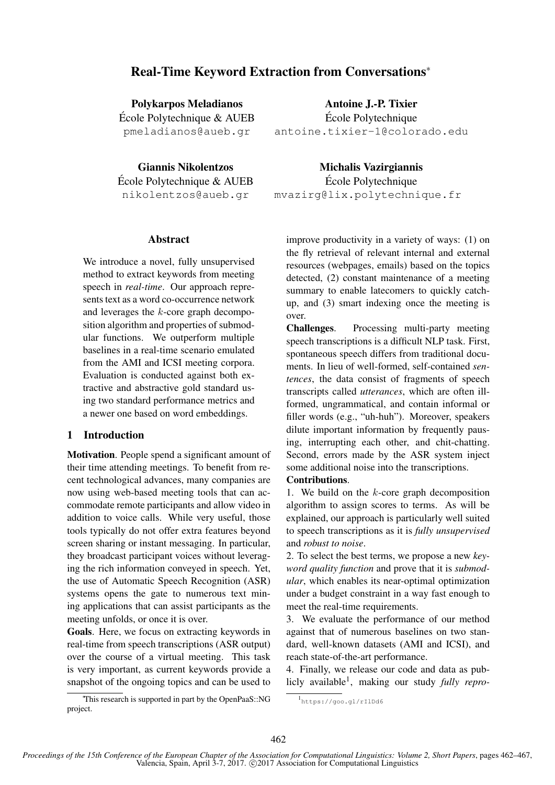# Real-Time Keyword Extraction from Conversations<sup>∗</sup>

Polykarpos Meladianos Ecole Polytechnique & AUEB ´ pmeladianos@aueb.gr

Giannis Nikolentzos Ecole Polytechnique & AUEB ´ nikolentzos@aueb.gr

# Abstract

We introduce a novel, fully unsupervised method to extract keywords from meeting speech in *real-time*. Our approach represents text as a word co-occurrence network and leverages the k-core graph decomposition algorithm and properties of submodular functions. We outperform multiple baselines in a real-time scenario emulated from the AMI and ICSI meeting corpora. Evaluation is conducted against both extractive and abstractive gold standard using two standard performance metrics and a newer one based on word embeddings.

# 1 Introduction

Motivation. People spend a significant amount of their time attending meetings. To benefit from recent technological advances, many companies are now using web-based meeting tools that can accommodate remote participants and allow video in addition to voice calls. While very useful, those tools typically do not offer extra features beyond screen sharing or instant messaging. In particular, they broadcast participant voices without leveraging the rich information conveyed in speech. Yet, the use of Automatic Speech Recognition (ASR) systems opens the gate to numerous text mining applications that can assist participants as the meeting unfolds, or once it is over.

Goals. Here, we focus on extracting keywords in real-time from speech transcriptions (ASR output) over the course of a virtual meeting. This task is very important, as current keywords provide a snapshot of the ongoing topics and can be used to

<sup>∗</sup>This research is supported in part by the OpenPaaS::NG project.

Antoine J.-P. Tixier

Ecole Polytechnique ´ antoine.tixier-1@colorado.edu

Michalis Vazirgiannis

Ecole Polytechnique ´ mvazirg@lix.polytechnique.fr

improve productivity in a variety of ways: (1) on the fly retrieval of relevant internal and external resources (webpages, emails) based on the topics detected, (2) constant maintenance of a meeting summary to enable latecomers to quickly catchup, and (3) smart indexing once the meeting is over.

Challenges. Processing multi-party meeting speech transcriptions is a difficult NLP task. First, spontaneous speech differs from traditional documents. In lieu of well-formed, self-contained *sentences*, the data consist of fragments of speech transcripts called *utterances*, which are often illformed, ungrammatical, and contain informal or filler words (e.g., "uh-huh"). Moreover, speakers dilute important information by frequently pausing, interrupting each other, and chit-chatting. Second, errors made by the ASR system inject some additional noise into the transcriptions.

#### Contributions.

1. We build on the  $k$ -core graph decomposition algorithm to assign scores to terms. As will be explained, our approach is particularly well suited to speech transcriptions as it is *fully unsupervised* and *robust to noise*.

2. To select the best terms, we propose a new *keyword quality function* and prove that it is *submodular*, which enables its near-optimal optimization under a budget constraint in a way fast enough to meet the real-time requirements.

3. We evaluate the performance of our method against that of numerous baselines on two standard, well-known datasets (AMI and ICSI), and reach state-of-the-art performance.

4. Finally, we release our code and data as publicly available<sup>1</sup> , making our study *fully repro-*

<sup>1</sup> https://goo.gl/rIlDd6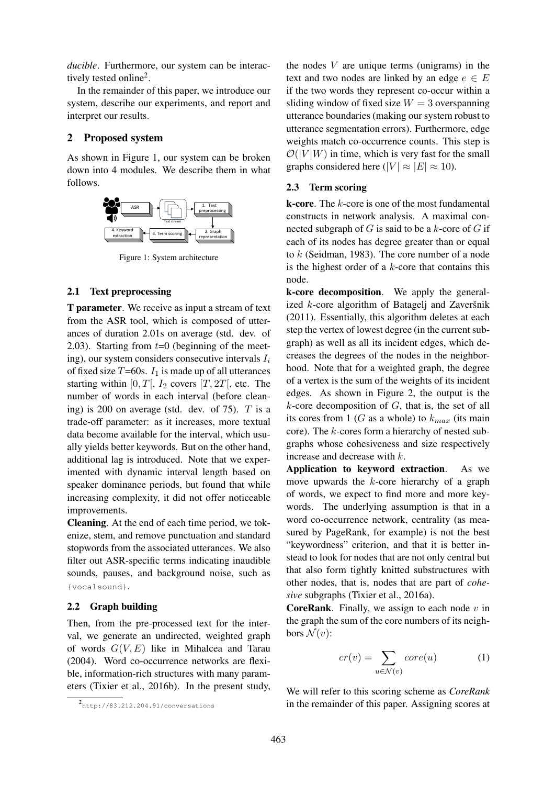*ducible*. Furthermore, our system can be interactively tested online<sup>2</sup>.

In the remainder of this paper, we introduce our system, describe our experiments, and report and interpret our results.

### 2 Proposed system

As shown in Figure 1, our system can be broken down into 4 modules. We describe them in what follows.



Figure 1: System architecture

### 2.1 Text preprocessing

T parameter. We receive as input a stream of text from the ASR tool, which is composed of utterances of duration 2.01s on average (std. dev. of 2.03). Starting from  $t=0$  (beginning of the meeting), our system considers consecutive intervals  $I_i$ of fixed size  $T=60s$ .  $I_1$  is made up of all utterances starting within [0,  $T$ ],  $I_2$  covers [T, 2T], etc. The number of words in each interval (before cleaning) is 200 on average (std. dev. of 75).  $T$  is a trade-off parameter: as it increases, more textual data become available for the interval, which usually yields better keywords. But on the other hand, additional lag is introduced. Note that we experimented with dynamic interval length based on speaker dominance periods, but found that while increasing complexity, it did not offer noticeable improvements.

Cleaning. At the end of each time period, we tokenize, stem, and remove punctuation and standard stopwords from the associated utterances. We also filter out ASR-specific terms indicating inaudible sounds, pauses, and background noise, such as {vocalsound}.

#### 2.2 Graph building

Then, from the pre-processed text for the interval, we generate an undirected, weighted graph of words  $G(V, E)$  like in Mihalcea and Tarau (2004). Word co-occurrence networks are flexible, information-rich structures with many parameters (Tixier et al., 2016b). In the present study, the nodes  $V$  are unique terms (unigrams) in the text and two nodes are linked by an edge  $e \in E$ if the two words they represent co-occur within a sliding window of fixed size  $W = 3$  overspanning utterance boundaries (making our system robust to utterance segmentation errors). Furthermore, edge weights match co-occurrence counts. This step is  $\mathcal{O}(|V|W)$  in time, which is very fast for the small graphs considered here ( $|V| \approx |E| \approx 10$ ).

### 2.3 Term scoring

**k-core**. The  $k$ -core is one of the most fundamental constructs in network analysis. A maximal connected subgraph of  $G$  is said to be a  $k$ -core of  $G$  if each of its nodes has degree greater than or equal to k (Seidman, 1983). The core number of a node is the highest order of a  $k$ -core that contains this node.

k-core decomposition. We apply the generalized  $k$ -core algorithm of Batagelj and Zaveršnik (2011). Essentially, this algorithm deletes at each step the vertex of lowest degree (in the current subgraph) as well as all its incident edges, which decreases the degrees of the nodes in the neighborhood. Note that for a weighted graph, the degree of a vertex is the sum of the weights of its incident edges. As shown in Figure 2, the output is the  $k$ -core decomposition of  $G$ , that is, the set of all its cores from 1 (G as a whole) to  $k_{max}$  (its main core). The k-cores form a hierarchy of nested subgraphs whose cohesiveness and size respectively increase and decrease with k.

Application to keyword extraction. As we move upwards the k-core hierarchy of a graph of words, we expect to find more and more keywords. The underlying assumption is that in a word co-occurrence network, centrality (as measured by PageRank, for example) is not the best "keywordness" criterion, and that it is better instead to look for nodes that are not only central but that also form tightly knitted substructures with other nodes, that is, nodes that are part of *cohesive* subgraphs (Tixier et al., 2016a).

**CoreRank.** Finally, we assign to each node  $v$  in the graph the sum of the core numbers of its neighbors  $\mathcal{N}(v)$ :

$$
cr(v) = \sum_{u \in \mathcal{N}(v)} core(u) \tag{1}
$$

We will refer to this scoring scheme as *CoreRank* in the remainder of this paper. Assigning scores at

<sup>&</sup>lt;sup>2</sup>http://83.212.204.91/conversations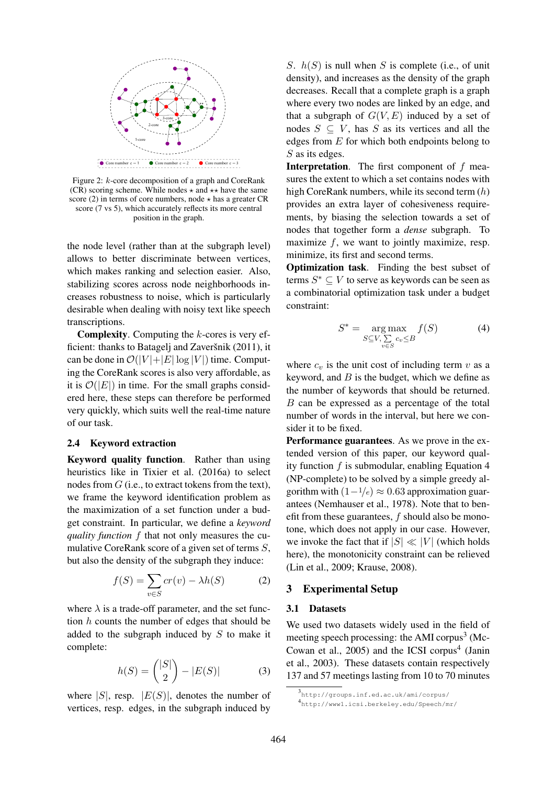

Figure 2: k-core decomposition of a graph and CoreRank (CR) scoring scheme. While nodes  $\star$  and  $\star\star$  have the same score (2) in terms of core numbers, node  $\star$  has a greater CR score (7 vs 5), which accurately reflects its more central position in the graph.

the node level (rather than at the subgraph level) allows to better discriminate between vertices, which makes ranking and selection easier. Also, stabilizing scores across node neighborhoods increases robustness to noise, which is particularly desirable when dealing with noisy text like speech transcriptions.

**Complexity.** Computing the  $k$ -cores is very efficient: thanks to Batagelj and Zaveršnik  $(2011)$ , it can be done in  $\mathcal{O}(|V| + |E| \log |V|)$  time. Computing the CoreRank scores is also very affordable, as it is  $\mathcal{O}(|E|)$  in time. For the small graphs considered here, these steps can therefore be performed very quickly, which suits well the real-time nature of our task.

#### 2.4 Keyword extraction

Keyword quality function. Rather than using heuristics like in Tixier et al. (2016a) to select nodes from  $G$  (i.e., to extract tokens from the text), we frame the keyword identification problem as the maximization of a set function under a budget constraint. In particular, we define a *keyword quality function* f that not only measures the cumulative CoreRank score of a given set of terms S, but also the density of the subgraph they induce:

$$
f(S) = \sum_{v \in S} cr(v) - \lambda h(S) \tag{2}
$$

where  $\lambda$  is a trade-off parameter, and the set function  $h$  counts the number of edges that should be added to the subgraph induced by S to make it complete:

$$
h(S) = \binom{|S|}{2} - |E(S)| \tag{3}
$$

where  $|S|$ , resp.  $|E(S)|$ , denotes the number of vertices, resp. edges, in the subgraph induced by

S.  $h(S)$  is null when S is complete (i.e., of unit density), and increases as the density of the graph decreases. Recall that a complete graph is a graph where every two nodes are linked by an edge, and that a subgraph of  $G(V, E)$  induced by a set of nodes  $S \subseteq V$ , has S as its vertices and all the edges from  $E$  for which both endpoints belong to S as its edges.

**Interpretation.** The first component of  $f$  measures the extent to which a set contains nodes with high CoreRank numbers, while its second term (h) provides an extra layer of cohesiveness requirements, by biasing the selection towards a set of nodes that together form a *dense* subgraph. To maximize  $f$ , we want to jointly maximize, resp. minimize, its first and second terms.

Optimization task. Finding the best subset of terms  $S^* \subseteq V$  to serve as keywords can be seen as a combinatorial optimization task under a budget constraint:

$$
S^* = \underset{S \subseteq V, \sum \ c_v \le B}{\arg \max} f(S) \tag{4}
$$

where  $c_v$  is the unit cost of including term v as a keyword, and  $B$  is the budget, which we define as the number of keywords that should be returned. B can be expressed as a percentage of the total number of words in the interval, but here we consider it to be fixed.

Performance guarantees. As we prove in the extended version of this paper, our keyword quality function  $f$  is submodular, enabling Equation 4 (NP-complete) to be solved by a simple greedy algorithm with  $(1-1/e) \approx 0.63$  approximation guarantees (Nemhauser et al., 1978). Note that to benefit from these guarantees,  $f$  should also be monotone, which does not apply in our case. However, we invoke the fact that if  $|S| \ll |V|$  (which holds here), the monotonicity constraint can be relieved (Lin et al., 2009; Krause, 2008).

### 3 Experimental Setup

#### 3.1 Datasets

We used two datasets widely used in the field of meeting speech processing: the AMI corpus<sup>3</sup> (Mc-Cowan et al.,  $2005$ ) and the ICSI corpus<sup>4</sup> (Janin et al., 2003). These datasets contain respectively 137 and 57 meetings lasting from 10 to 70 minutes

<sup>3</sup> http://groups.inf.ed.ac.uk/ami/corpus/ 4 http://www1.icsi.berkeley.edu/Speech/mr/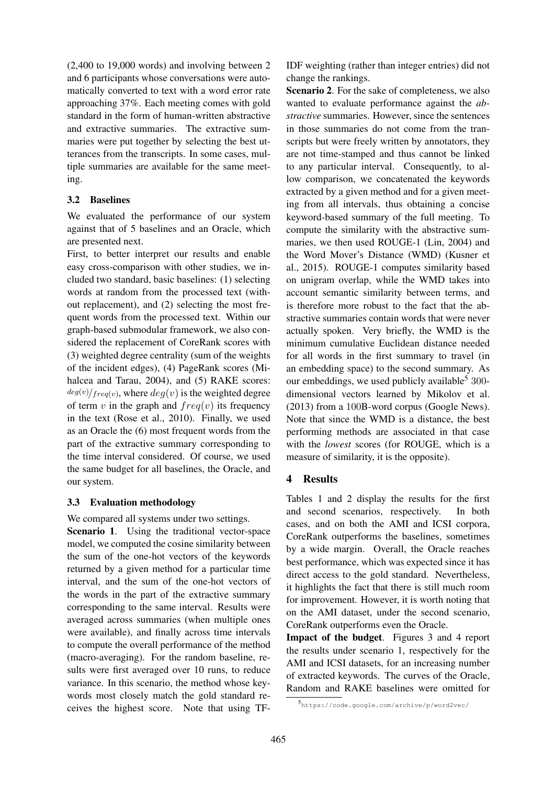(2,400 to 19,000 words) and involving between 2 and 6 participants whose conversations were automatically converted to text with a word error rate approaching 37%. Each meeting comes with gold standard in the form of human-written abstractive and extractive summaries. The extractive summaries were put together by selecting the best utterances from the transcripts. In some cases, multiple summaries are available for the same meeting.

### 3.2 Baselines

We evaluated the performance of our system against that of 5 baselines and an Oracle, which are presented next.

First, to better interpret our results and enable easy cross-comparison with other studies, we included two standard, basic baselines: (1) selecting words at random from the processed text (without replacement), and (2) selecting the most frequent words from the processed text. Within our graph-based submodular framework, we also considered the replacement of CoreRank scores with (3) weighted degree centrality (sum of the weights of the incident edges), (4) PageRank scores (Mihalcea and Tarau, 2004), and (5) RAKE scores:  $deg(v)/freq(v)$ , where  $deg(v)$  is the weighted degree of term v in the graph and  $freq(v)$  its frequency in the text (Rose et al., 2010). Finally, we used as an Oracle the (6) most frequent words from the part of the extractive summary corresponding to the time interval considered. Of course, we used the same budget for all baselines, the Oracle, and our system.

# 3.3 Evaluation methodology

We compared all systems under two settings. Scenario 1. Using the traditional vector-space model, we computed the cosine similarity between the sum of the one-hot vectors of the keywords returned by a given method for a particular time interval, and the sum of the one-hot vectors of the words in the part of the extractive summary corresponding to the same interval. Results were averaged across summaries (when multiple ones were available), and finally across time intervals to compute the overall performance of the method (macro-averaging). For the random baseline, results were first averaged over 10 runs, to reduce variance. In this scenario, the method whose keywords most closely match the gold standard receives the highest score. Note that using TF-

IDF weighting (rather than integer entries) did not change the rankings.

Scenario 2. For the sake of completeness, we also wanted to evaluate performance against the *abstractive* summaries. However, since the sentences in those summaries do not come from the transcripts but were freely written by annotators, they are not time-stamped and thus cannot be linked to any particular interval. Consequently, to allow comparison, we concatenated the keywords extracted by a given method and for a given meeting from all intervals, thus obtaining a concise keyword-based summary of the full meeting. To compute the similarity with the abstractive summaries, we then used ROUGE-1 (Lin, 2004) and the Word Mover's Distance (WMD) (Kusner et al., 2015). ROUGE-1 computes similarity based on unigram overlap, while the WMD takes into account semantic similarity between terms, and is therefore more robust to the fact that the abstractive summaries contain words that were never actually spoken. Very briefly, the WMD is the minimum cumulative Euclidean distance needed for all words in the first summary to travel (in an embedding space) to the second summary. As our embeddings, we used publicly available<sup>5</sup> 300dimensional vectors learned by Mikolov et al. (2013) from a 100B-word corpus (Google News). Note that since the WMD is a distance, the best performing methods are associated in that case with the *lowest* scores (for ROUGE, which is a measure of similarity, it is the opposite).

# 4 Results

Tables 1 and 2 display the results for the first and second scenarios, respectively. In both cases, and on both the AMI and ICSI corpora, CoreRank outperforms the baselines, sometimes by a wide margin. Overall, the Oracle reaches best performance, which was expected since it has direct access to the gold standard. Nevertheless, it highlights the fact that there is still much room for improvement. However, it is worth noting that on the AMI dataset, under the second scenario, CoreRank outperforms even the Oracle.

Impact of the budget. Figures 3 and 4 report the results under scenario 1, respectively for the AMI and ICSI datasets, for an increasing number of extracted keywords. The curves of the Oracle, Random and RAKE baselines were omitted for

<sup>5</sup> https://code.google.com/archive/p/word2vec/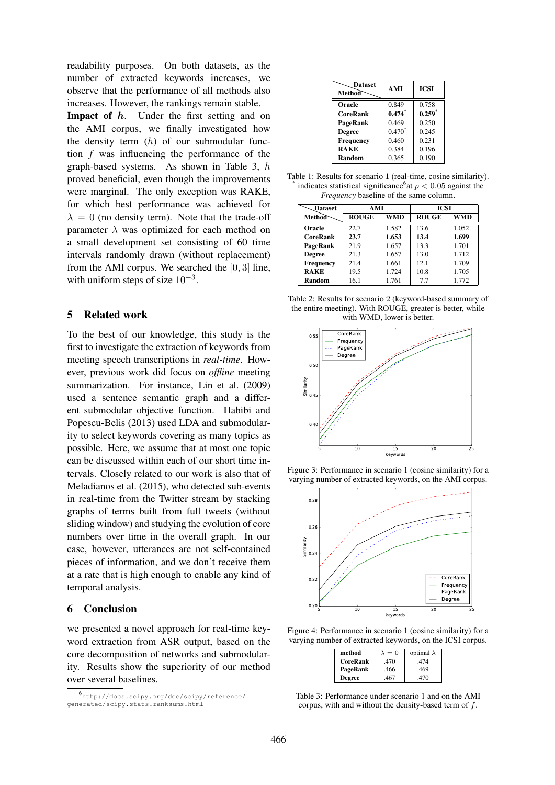readability purposes. On both datasets, as the number of extracted keywords increases, we observe that the performance of all methods also increases. However, the rankings remain stable.

**Impact of**  $h$ . Under the first setting and on the AMI corpus, we finally investigated how the density term  $(h)$  of our submodular function f was influencing the performance of the graph-based systems. As shown in Table 3, h proved beneficial, even though the improvements were marginal. The only exception was RAKE, for which best performance was achieved for  $\lambda = 0$  (no density term). Note that the trade-off parameter  $\lambda$  was optimized for each method on a small development set consisting of 60 time intervals randomly drawn (without replacement) from the AMI corpus. We searched the [0, 3] line, with uniform steps of size  $10^{-3}$ .

### 5 Related work

To the best of our knowledge, this study is the first to investigate the extraction of keywords from meeting speech transcriptions in *real-time*. However, previous work did focus on *offline* meeting summarization. For instance, Lin et al. (2009) used a sentence semantic graph and a different submodular objective function. Habibi and Popescu-Belis (2013) used LDA and submodularity to select keywords covering as many topics as possible. Here, we assume that at most one topic can be discussed within each of our short time intervals. Closely related to our work is also that of Meladianos et al. (2015), who detected sub-events in real-time from the Twitter stream by stacking graphs of terms built from full tweets (without sliding window) and studying the evolution of core numbers over time in the overall graph. In our case, however, utterances are not self-contained pieces of information, and we don't receive them at a rate that is high enough to enable any kind of temporal analysis.

# 6 Conclusion

we presented a novel approach for real-time keyword extraction from ASR output, based on the core decomposition of networks and submodularity. Results show the superiority of our method over several baselines.

| <b>Dataset</b><br>Method | AMI      | <b>ICSI</b> |
|--------------------------|----------|-------------|
| Oracle                   | 0.849    | 0.758       |
| <b>CoreRank</b>          | $0.474*$ | $0.259*$    |
| PageRank                 | 0.469    | 0.250       |
| <b>Degree</b>            | $0.470*$ | 0.245       |
| Frequency                | 0.460    | 0.231       |
| <b>RAKE</b>              | 0.384    | 0.196       |
| Random                   | 0.365    | 0.190       |

Table 1: Results for scenario 1 (real-time, cosine similarity). \* indicates statistical significance<sup>6</sup> at  $p < 0.05$  against the *Frequency* baseline of the same column.

| <b>_Dataset</b> | AMI          |            | <b>ICSI</b>  |       |
|-----------------|--------------|------------|--------------|-------|
| Method          | <b>ROUGE</b> | <b>WMD</b> | <b>ROUGE</b> | WMD   |
| Oracle          | 22.7         | 1.582      | 13.6         | 1.052 |
| <b>CoreRank</b> | 23.7         | 1.653      | 13.4         | 1.699 |
| PageRank        | 21.9         | 1.657      | 13.3         | 1.701 |
| <b>Degree</b>   | 21.3         | 1.657      | 13.0         | 1.712 |
| Frequency       | 214          | 1.661      | 12.1         | 1.709 |
| <b>RAKE</b>     | 19.5         | 1.724      | 10.8         | 1.705 |
| Random          | 16.1         | 1.761      | 7.7          | 1.772 |





Figure 3: Performance in scenario 1 (cosine similarity) for a varying number of extracted keywords, on the AMI corpus.



Figure 4: Performance in scenario 1 (cosine similarity) for a varying number of extracted keywords, on the ICSI corpus.

| method          | $\lambda = 0$ | optimal $\lambda$ |
|-----------------|---------------|-------------------|
| <b>CoreRank</b> | .470          | .474              |
| PageRank        | .466          | .469              |
| <b>Degree</b>   | .467          | .470              |

Table 3: Performance under scenario 1 and on the AMI corpus, with and without the density-based term of f.

<sup>6</sup> http://docs.scipy.org/doc/scipy/reference/ generated/scipy.stats.ranksums.html